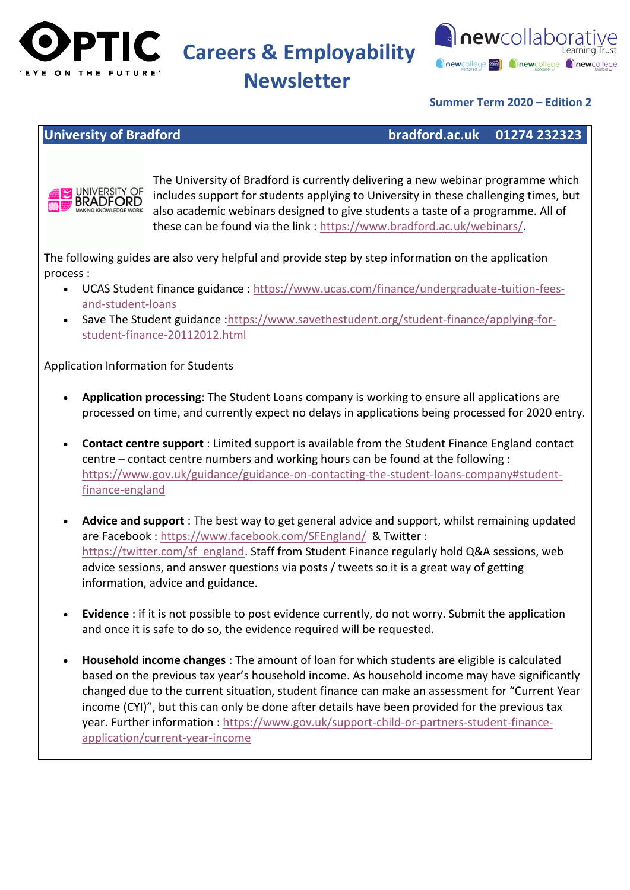

**Newsletter**



### **Summer Term 2020 – Edition 2**

#### **University of Bradford bradford.ac.uk 01274 232323**



The University of Bradford is currently delivering a new webinar programme which includes support for students applying to University in these challenging times, but also academic webinars designed to give students a taste of a programme. All of these can be found via the link : [https://www.bradford.ac.uk/webinars/.](https://www.bradford.ac.uk/webinars/)

The following guides are also very helpful and provide step by step information on the application process :

- UCAS Student finance guidance : [https://www.ucas.com/finance/undergraduate-tuition-fees](https://www.ucas.com/finance/undergraduate-tuition-fees-and-student-loans)[and-student-loans](https://www.ucas.com/finance/undergraduate-tuition-fees-and-student-loans)
- Save The Student guidance: https://www.savethestudent.org/student-finance/applying-for[student-finance-20112012.html](https://www.savethestudent.org/student-finance/applying-for-student-finance-20112012.html)

Application Information for Students

- **Application processing**: The Student Loans company is working to ensure all applications are processed on time, and currently expect no delays in applications being processed for 2020 entry.
- **Contact centre support** : Limited support is available from the Student Finance England contact centre – contact centre numbers and working hours can be found at the following : [https://www.gov.uk/guidance/guidance-on-contacting-the-student-loans-company#student](https://www.gov.uk/guidance/guidance-on-contacting-the-student-loans-company#student-finance-england)[finance-england](https://www.gov.uk/guidance/guidance-on-contacting-the-student-loans-company#student-finance-england)
- **Advice and support** : The best way to get general advice and support, whilst remaining updated are Facebook :<https://www.facebook.com/SFEngland/> & Twitter : [https://twitter.com/sf\\_england.](https://twitter.com/sf_england) Staff from Student Finance regularly hold Q&A sessions, web advice sessions, and answer questions via posts / tweets so it is a great way of getting information, advice and guidance.
- **Evidence** : if it is not possible to post evidence currently, do not worry. Submit the application and once it is safe to do so, the evidence required will be requested.
- **Household income changes** : The amount of loan for which students are eligible is calculated based on the previous tax year's household income. As household income may have significantly changed due to the current situation, student finance can make an assessment for "Current Year income (CYI)", but this can only be done after details have been provided for the previous tax year. Further information : [https://www.gov.uk/support-child-or-partners-student-finance](https://www.gov.uk/support-child-or-partners-student-finance-application/current-year-income)[application/current-year-income](https://www.gov.uk/support-child-or-partners-student-finance-application/current-year-income)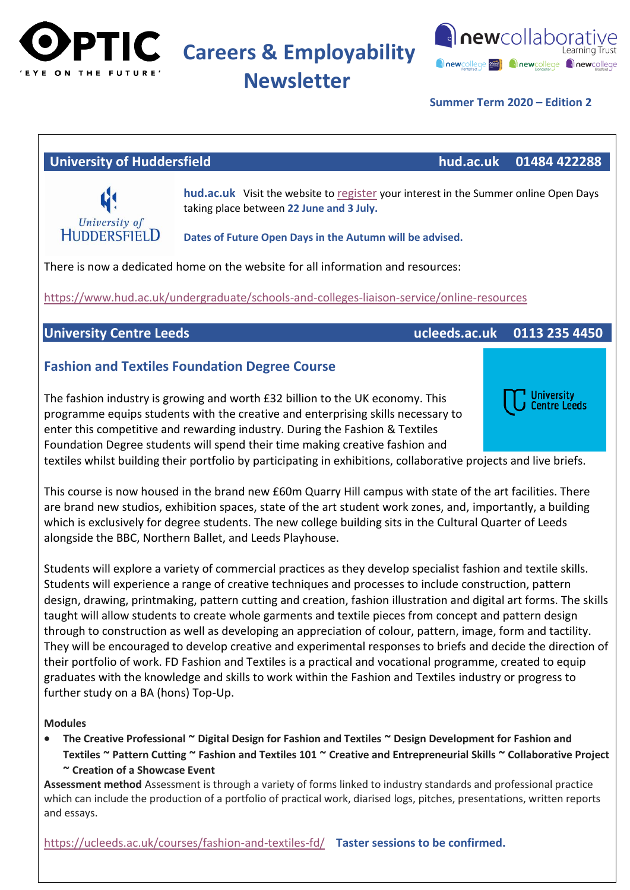

**Newsletter**



**University Centre Leeds** 

#### **Summer Term 2020 – Edition 2**

### **University of Huddersfield hud.ac.uk 01484 422288**



**hud.ac.uk** Visit the website to [register](https://www.hud.ac.uk/open-days/undergraduate/) your interest in the Summer online Open Days taking place between **22 June and 3 July.**

**Dates of Future Open Days in the Autumn will be advised.**

There is now a dedicated home on the website for all information and resources:

<https://www.hud.ac.uk/undergraduate/schools-and-colleges-liaison-service/online-resources>

# **University Centre Leeds ucleeds.ac.uk 0113 235 4450**

# **Fashion and Textiles Foundation Degree Course**

The fashion industry is growing and worth £32 billion to the UK economy. This programme equips students with the creative and enterprising skills necessary to enter this competitive and rewarding industry. During the Fashion & Textiles Foundation Degree students will spend their time making creative fashion and

textiles whilst building their portfolio by participating in exhibitions, collaborative projects and live briefs.

This course is now housed in the brand new £60m Quarry Hill campus with state of the art facilities. There are brand new studios, exhibition spaces, state of the art student work zones, and, importantly, a building which is exclusively for degree students. The new college building sits in the Cultural Quarter of Leeds alongside the BBC, Northern Ballet, and Leeds Playhouse.

Students will explore a variety of commercial practices as they develop specialist fashion and textile skills. Students will experience a range of creative techniques and processes to include construction, pattern design, drawing, printmaking, pattern cutting and creation, fashion illustration and digital art forms. The skills taught will allow students to create whole garments and textile pieces from concept and pattern design through to construction as well as developing an appreciation of colour, pattern, image, form and tactility. They will be encouraged to develop creative and experimental responses to briefs and decide the direction of their portfolio of work. FD Fashion and Textiles is a practical and vocational programme, created to equip graduates with the knowledge and skills to work within the Fashion and Textiles industry or progress to further study on a BA (hons) Top-Up.

#### **Modules**

 **The Creative Professional ~ Digital Design for Fashion and Textiles ~ Design Development for Fashion and Textiles ~ Pattern Cutting ~ Fashion and Textiles 101 ~ Creative and Entrepreneurial Skills ~ Collaborative Project ~ Creation of a Showcase Event**

**Assessment method** Assessment is through a variety of forms linked to industry standards and professional practice which can include the production of a portfolio of practical work, diarised logs, pitches, presentations, written reports and essays.

<https://ucleeds.ac.uk/courses/fashion-and-textiles-fd/>**Taster sessions to be confirmed.**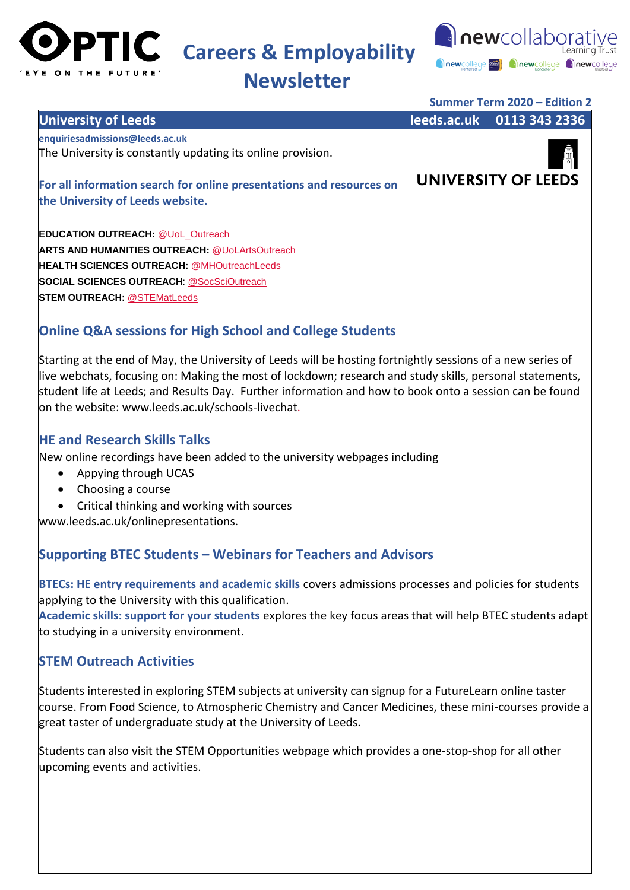



# **Newsletter**



**EDUCATION OUTREACH: [@UoL\\_Outreach](https://s6.newzapp.co.uk/t/gtl/MTQzNTc5ODAsMTQyMzYzNjcwMSwxNA==) ARTS AND HUMANITIES OUTREACH:** [@UoLArtsOutreach](https://s6.newzapp.co.uk/t/gtl/MTQzNTc5ODEsMTQyMzYzNjcwMSwxNA==)  **HEALTH SCIENCES OUTREACH:** [@MHOutreachLeeds](https://s6.newzapp.co.uk/t/gtl/MTQzNTc5ODIsMTQyMzYzNjcwMSwxNA==) **SOCIAL SCIENCES OUTREACH**: [@SocSciOutreach](https://s6.newzapp.co.uk/t/gtl/MTQzNTc5ODMsMTQyMzYzNjcwMSwxNA==) **STEM OUTREACH:** [@STEMatLeeds](https://s6.newzapp.co.uk/t/gtl/MTQzNTc5ODQsMTQyMzYzNjcwMSwxNA==)

# **Online Q&A sessions for High School and College Students**

Starting at the end of May, the University of Leeds will be hosting fortnightly sessions of a new series of live webchats, focusing on: Making the most of lockdown; research and study skills, personal statements, student life at Leeds; and Results Day. Further information and how to book onto a session can be found on the website: www.leeds.ac.uk/schools-livechat.

# **HE and Research Skills Talks**

New online recordings have been added to the university webpages including

- Appying through UCAS
- Choosing a course
- Critical thinking and working with sources

www.leeds.ac.uk/onlinepresentations.

# **Supporting BTEC Students – Webinars for Teachers and Advisors**

**BTECs: HE entry requirements and academic skills** covers admissions processes and policies for students applying to the University with this qualification.

**Academic skills: support for your students** explores the key focus areas that will help BTEC students adapt to studying in a university environment.

# **STEM Outreach Activities**

Students interested in exploring STEM subjects at university can signup for a FutureLearn online taster course. From Food Science, to Atmospheric Chemistry and Cancer Medicines, these mini-courses provide a great taster of undergraduate study at the University of Leeds.

Students can also visit the STEM Opportunities webpage which provides a one-stop-shop for all other upcoming events and activities.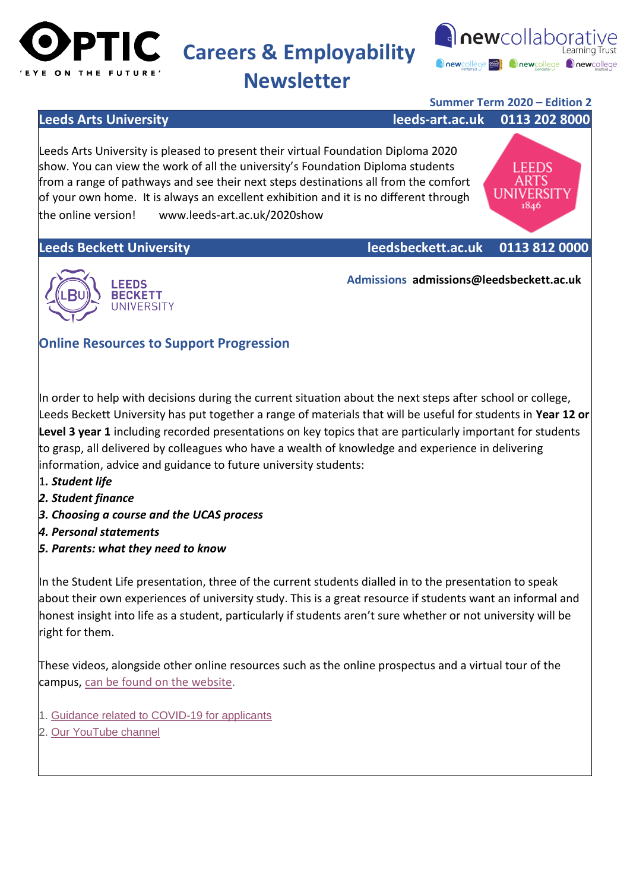



**LEEDS** ARTS UNIVERSIT 1846

**Newsletter**

### **Summer Term 2020 – Edition 2**

**Leeds Arts University leeds-art.ac.uk 0113 202 8000** 

Leeds Arts University is pleased to present their virtual Foundation Diploma 2020 show. You can view the work of all the university's Foundation Diploma students from a range of pathways and see their next steps destinations all from the comfort of your own home. It is always an excellent exhibition and it is no different through the online version! www.leeds-art.ac.uk/2020show**ty**

**Leeds Beckett University leedsbeckett.ac.uk 0113 812 0000**



 **Admissions admissions@leedsbeckett.ac.uk**

# **Online Resources to Support Progression**

In order to help with decisions during the current situation about the next steps after school or college, Leeds Beckett University has put together a range of materials that will be useful for students in **Year 12 or Level 3 year 1** including recorded presentations on key topics that are particularly important for students to grasp, all delivered by colleagues who have a wealth of knowledge and experience in delivering information, advice and guidance to future university students:

- 1*. Student life*
- *2. Student finance*
- *3. Choosing a course and the UCAS process*
- *4. Personal statements*
- *5. Parents: what they need to know*

In the Student Life presentation, three of the current students dialled in to the presentation to speak about their own experiences of university study. This is a great resource if students want an informal and honest insight into life as a student, particularly if students aren't sure whether or not university will be right for them.

These videos, alongside other online resources such as the online prospectus and a virtual tour of the campus, [can be found on the website.](https://leedsbeckettuniversity.cmail19.com/t/t-l-pxwjt-vyhldktiy-j/)

- 1. [Guidance related to COVID-19 for applicants](https://leedsbeckettuniversity.cmail19.com/t/t-l-pxwjt-vyhldktiy-t/)
- 2. [Our YouTube channel](https://leedsbeckettuniversity.cmail19.com/t/t-l-pxwjt-vyhldktiy-i/)